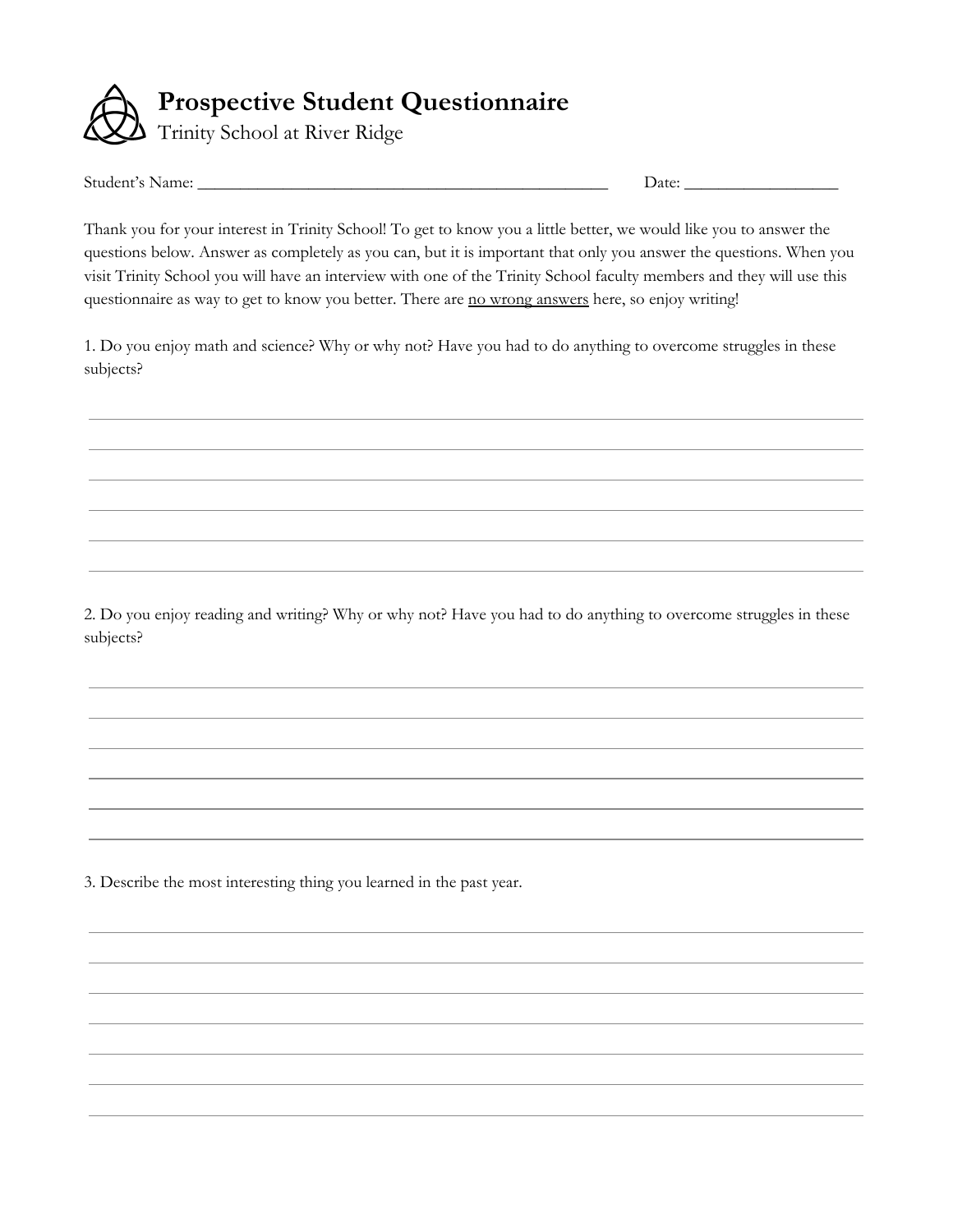

Student's Name: \_\_\_\_\_\_\_\_\_\_\_\_\_\_\_\_\_\_\_\_\_\_\_\_\_\_\_\_\_\_\_\_\_\_\_\_\_\_\_\_\_\_\_\_\_\_\_\_ Date: \_\_\_\_\_\_\_\_\_\_\_\_\_\_\_\_\_\_

Thank you for your interest in Trinity School! To get to know you a little better, we would like you to answer the questions below. Answer as completely as you can, but it is important that only you answer the questions. When you visit Trinity School you will have an interview with one of the Trinity School faculty members and they will use this questionnaire as way to get to know you better. There are no wrong answers here, so enjoy writing!

1. Do you enjoy math and science? Why or why not? Have you had to do anything to overcome struggles in these subjects?

2. Do you enjoy reading and writing? Why or why not? Have you had to do anything to overcome struggles in these subjects?

3. Describe the most interesting thing you learned in the past year.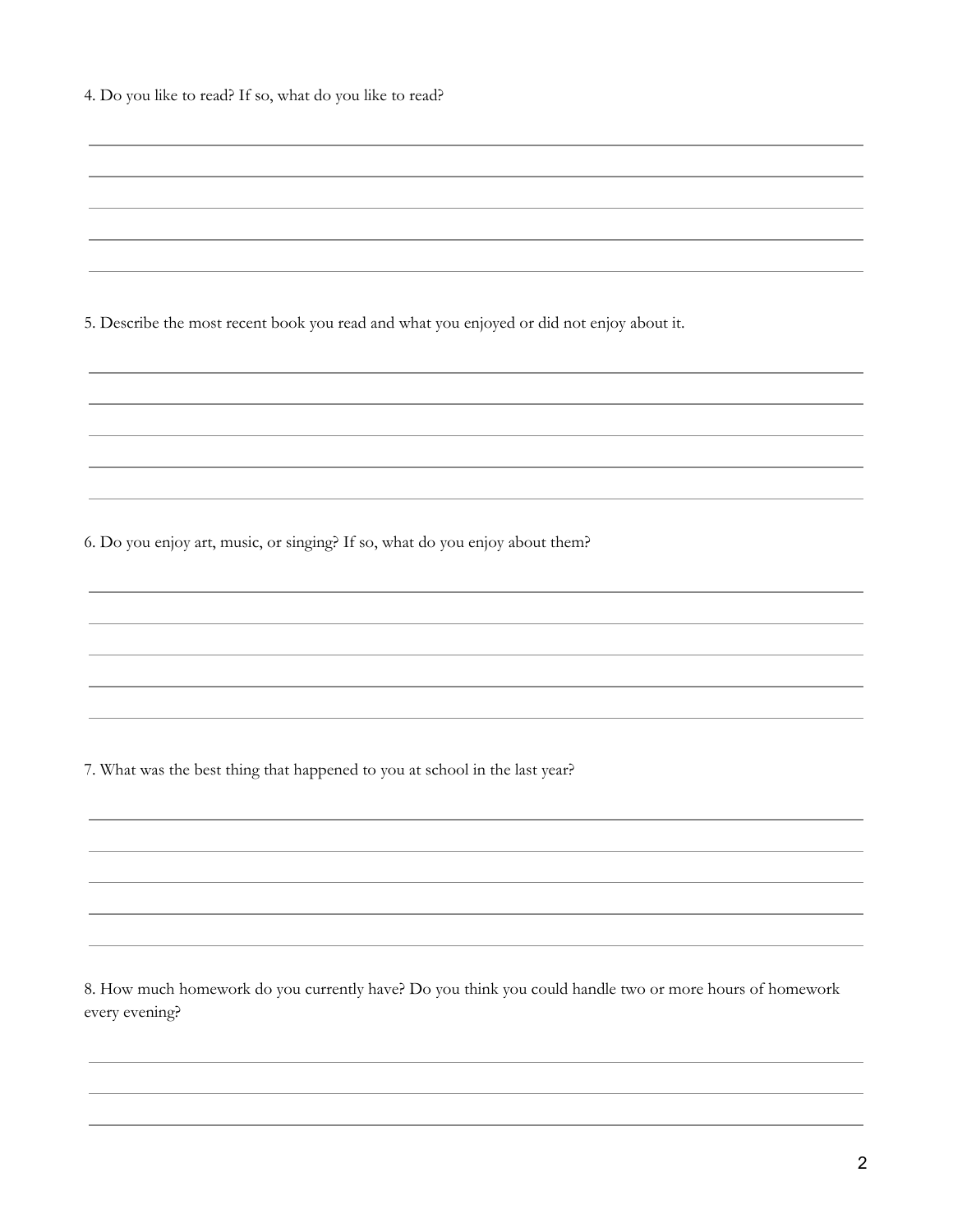| 4. Do you like to read? If so, what do you like to read? |  |  |  |  |
|----------------------------------------------------------|--|--|--|--|
|----------------------------------------------------------|--|--|--|--|

5. Describe the most recent book you read and what you enjoyed or did not enjoy about it.

6. Do you enjoy art, music, or singing? If so, what do you enjoy about them?

7. What was the best thing that happened to you at school in the last year?

8. How much homework do you currently have? Do you think you could handle two or more hours of homework every evening?